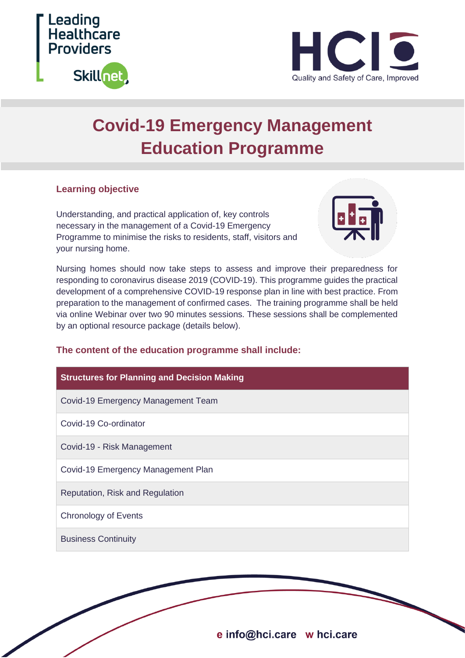



# **Covid-19 Emergency Management Education Programme**

#### **Learning objective**

Understanding, and practical application of, key controls necessary in the management of a Covid-19 Emergency Programme to minimise the risks to residents, staff, visitors and your nursing home.



Nursing homes should now take steps to assess and improve their preparedness for responding to coronavirus disease 2019 (COVID-19). This programme guides the practical development of a comprehensive COVID-19 response plan in line with best practice. From preparation to the management of confirmed cases. The training programme shall be held via online Webinar over two 90 minutes sessions. These sessions shall be complemented by an optional resource package (details below).

### **The content of the education programme shall include:**

| <b>Structures for Planning and Decision Making</b> |
|----------------------------------------------------|
| Covid-19 Emergency Management Team                 |
| Covid-19 Co-ordinator                              |
| Covid-19 - Risk Management                         |
| Covid-19 Emergency Management Plan                 |
| Reputation, Risk and Regulation                    |
| Chronology of Events                               |
| <b>Business Continuity</b>                         |

e info@hci.care w hci.care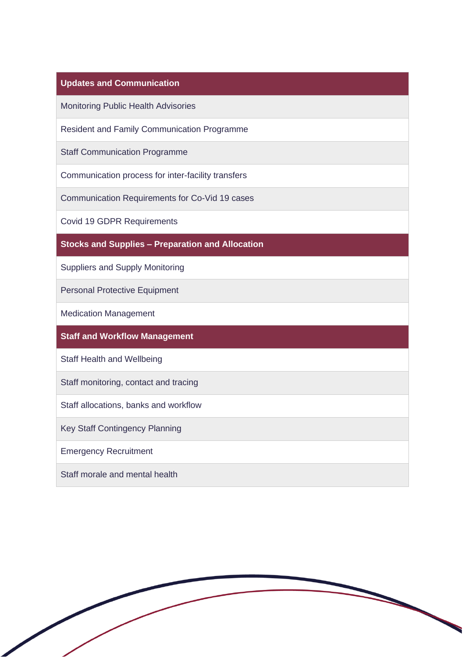## **Updates and Communication**

Monitoring Public Health Advisories

Resident and Family Communication Programme

Staff Communication Programme

Communication process for inter-facility transfers

Communication Requirements for Co-Vid 19 cases

Covid 19 GDPR Requirements

**Stocks and Supplies – Preparation and Allocation**

Suppliers and Supply Monitoring

Personal Protective Equipment

Medication Management

**Staff and Workflow Management** 

Staff Health and Wellbeing

Staff monitoring, contact and tracing

Staff allocations, banks and workflow

Key Staff Contingency Planning

Emergency Recruitment

Staff morale and mental health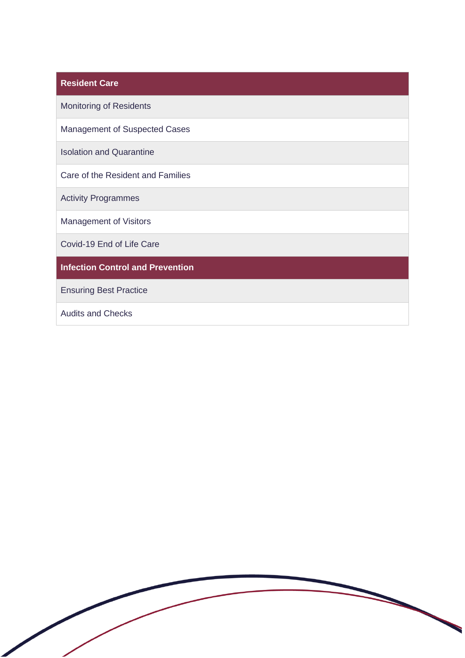| <b>Resident Care</b>                    |
|-----------------------------------------|
| <b>Monitoring of Residents</b>          |
| <b>Management of Suspected Cases</b>    |
| <b>Isolation and Quarantine</b>         |
| Care of the Resident and Families       |
| <b>Activity Programmes</b>              |
| <b>Management of Visitors</b>           |
| Covid-19 End of Life Care               |
| <b>Infection Control and Prevention</b> |
| <b>Ensuring Best Practice</b>           |

Audits and Checks

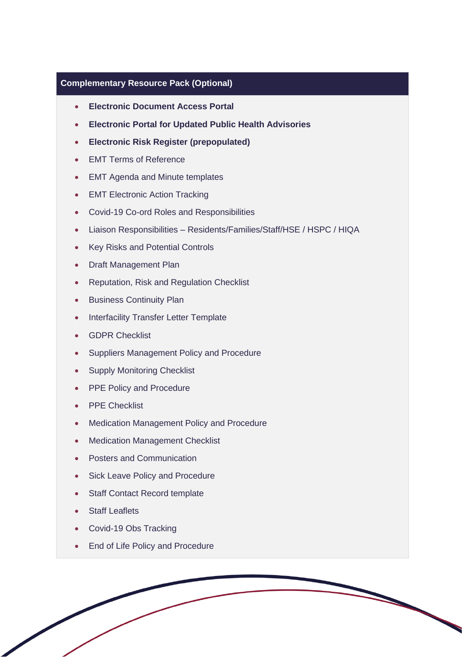#### **Complementary Resource Pack (Optional)**

- **Electronic Document Access Portal**
- **Electronic Portal for Updated Public Health Advisories**
- **Electronic Risk Register (prepopulated)**
- EMT Terms of Reference
- EMT Agenda and Minute templates
- EMT Electronic Action Tracking
- Covid-19 Co-ord Roles and Responsibilities
- Liaison Responsibilities Residents/Families/Staff/HSE / HSPC / HIQA
- Key Risks and Potential Controls
- Draft Management Plan
- Reputation, Risk and Regulation Checklist
- Business Continuity Plan
- Interfacility Transfer Letter Template
- GDPR Checklist
- Suppliers Management Policy and Procedure
- Supply Monitoring Checklist
- PPE Policy and Procedure
- PPE Checklist
- Medication Management Policy and Procedure
- Medication Management Checklist
- Posters and Communication
- Sick Leave Policy and Procedure
- Staff Contact Record template
- Staff Leaflets
- Covid-19 Obs Tracking
- End of Life Policy and Procedure